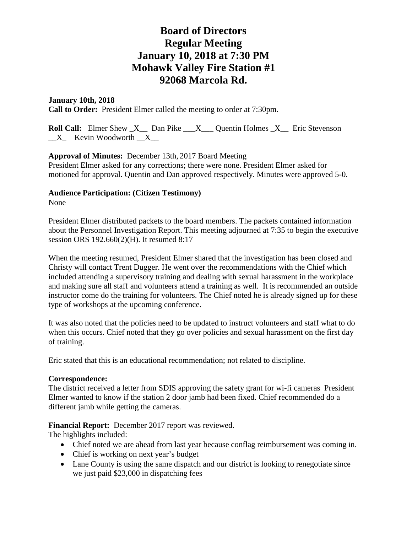## **January 10th, 2018**

**Call to Order:** President Elmer called the meeting to order at 7:30pm.

**Roll Call:** Elmer Shew X Dan Pike X Quentin Holmes X Eric Stevenson  $X$  Kevin Woodworth  $X$ 

## **Approval of Minutes:** December 13th, 2017 Board Meeting

President Elmer asked for any corrections; there were none. President Elmer asked for motioned for approval. Quentin and Dan approved respectively. Minutes were approved 5-0.

## **Audience Participation: (Citizen Testimony)**

None

President Elmer distributed packets to the board members. The packets contained information about the Personnel Investigation Report. This meeting adjourned at 7:35 to begin the executive session ORS 192.660(2)(H). It resumed 8:17

When the meeting resumed, President Elmer shared that the investigation has been closed and Christy will contact Trent Dugger. He went over the recommendations with the Chief which included attending a supervisory training and dealing with sexual harassment in the workplace and making sure all staff and volunteers attend a training as well. It is recommended an outside instructor come do the training for volunteers. The Chief noted he is already signed up for these type of workshops at the upcoming conference.

It was also noted that the policies need to be updated to instruct volunteers and staff what to do when this occurs. Chief noted that they go over policies and sexual harassment on the first day of training.

Eric stated that this is an educational recommendation; not related to discipline.

### **Correspondence:**

The district received a letter from SDIS approving the safety grant for wi-fi cameras President Elmer wanted to know if the station 2 door jamb had been fixed. Chief recommended do a different jamb while getting the cameras.

## **Financial Report:** December 2017 report was reviewed.

The highlights included:

- Chief noted we are ahead from last year because conflag reimbursement was coming in.
- Chief is working on next year's budget
- Lane County is using the same dispatch and our district is looking to renegotiate since we just paid \$23,000 in dispatching fees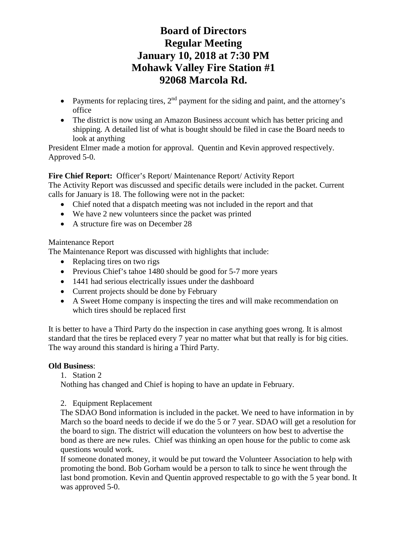- Payments for replacing tires,  $2<sup>nd</sup>$  payment for the siding and paint, and the attorney's office
- The district is now using an Amazon Business account which has better pricing and shipping. A detailed list of what is bought should be filed in case the Board needs to look at anything

President Elmer made a motion for approval. Quentin and Kevin approved respectively. Approved 5-0.

# **Fire Chief Report:** Officer's Report/ Maintenance Report/ Activity Report

The Activity Report was discussed and specific details were included in the packet. Current calls for January is 18. The following were not in the packet:

- Chief noted that a dispatch meeting was not included in the report and that
- We have 2 new volunteers since the packet was printed
- A structure fire was on December 28

# Maintenance Report

The Maintenance Report was discussed with highlights that include:

- Replacing tires on two rigs
- Previous Chief's tahoe 1480 should be good for 5-7 more years
- 1441 had serious electrically issues under the dashboard
- Current projects should be done by February
- A Sweet Home company is inspecting the tires and will make recommendation on which tires should be replaced first

It is better to have a Third Party do the inspection in case anything goes wrong. It is almost standard that the tires be replaced every 7 year no matter what but that really is for big cities. The way around this standard is hiring a Third Party.

# **Old Business**:

1. Station 2

Nothing has changed and Chief is hoping to have an update in February.

# 2. Equipment Replacement

The SDAO Bond information is included in the packet. We need to have information in by March so the board needs to decide if we do the 5 or 7 year. SDAO will get a resolution for the board to sign. The district will education the volunteers on how best to advertise the bond as there are new rules. Chief was thinking an open house for the public to come ask questions would work.

If someone donated money, it would be put toward the Volunteer Association to help with promoting the bond. Bob Gorham would be a person to talk to since he went through the last bond promotion. Kevin and Quentin approved respectable to go with the 5 year bond. It was approved 5-0.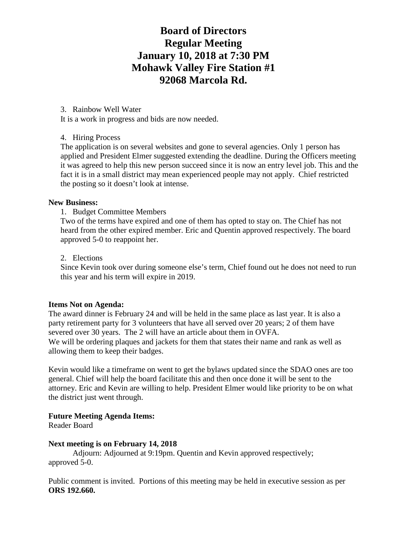### 3. Rainbow Well Water

It is a work in progress and bids are now needed.

### 4. Hiring Process

The application is on several websites and gone to several agencies. Only 1 person has applied and President Elmer suggested extending the deadline. During the Officers meeting it was agreed to help this new person succeed since it is now an entry level job. This and the fact it is in a small district may mean experienced people may not apply. Chief restricted the posting so it doesn't look at intense.

#### **New Business:**

#### 1. Budget Committee Members

Two of the terms have expired and one of them has opted to stay on. The Chief has not heard from the other expired member. Eric and Quentin approved respectively. The board approved 5-0 to reappoint her.

#### 2. Elections

Since Kevin took over during someone else's term, Chief found out he does not need to run this year and his term will expire in 2019.

### **Items Not on Agenda:**

The award dinner is February 24 and will be held in the same place as last year. It is also a party retirement party for 3 volunteers that have all served over 20 years; 2 of them have severed over 30 years. The 2 will have an article about them in OVFA. We will be ordering plaques and jackets for them that states their name and rank as well as allowing them to keep their badges.

Kevin would like a timeframe on went to get the bylaws updated since the SDAO ones are too general. Chief will help the board facilitate this and then once done it will be sent to the attorney. Eric and Kevin are willing to help. President Elmer would like priority to be on what the district just went through.

### **Future Meeting Agenda Items:**

Reader Board

### **Next meeting is on February 14, 2018**

Adjourn: Adjourned at 9:19pm. Quentin and Kevin approved respectively; approved 5-0.

Public comment is invited. Portions of this meeting may be held in executive session as per **ORS 192.660.**